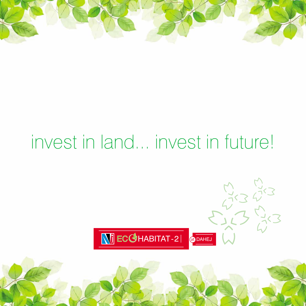

# invest in land... invest in future!



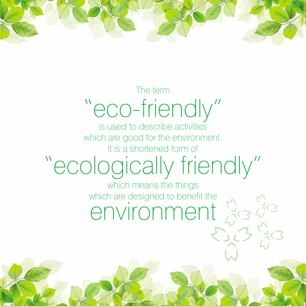

## The term "eco-friendly"

is used to describe activities which are good for the environment. It is a shortened form of

# "ecologically friendly"

which means the things which are designed to benefit the environment 33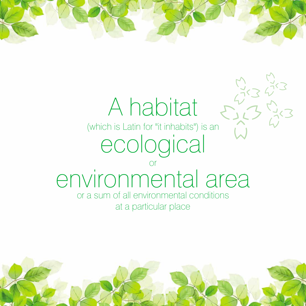

(which is Latin for "it inhabits") is an ecological

## or environmental area

or a sum of all environmental conditions at a particular place

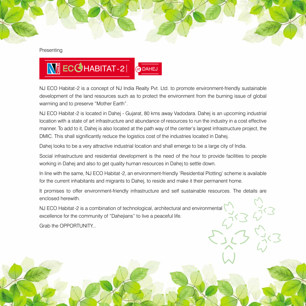Presenting

## NJ ECGHABITAT-2| at DAHEJ

NJ ECO Habitat-2 is a concept of NJ India Realty Pvt. Ltd. to promote environment-friendly sustainable development of the land resources such as to protect the environment from the burning issue of global warming and to preserve "Mother Earth".

NJ ECO Habitat-2 is located in Dahej - Gujarat, 80 kms away Vadodara. Dahej is an upcoming industrial location with a state of art infrastructure and abundance of resources to run the industry in a cost effective manner. To add to it, Dahej is also located at the path way of the center's largest infrastructure project, the DMIC. This shall significantly reduce the logistics cost of the industries located in Dahej.

Dahej looks to be a very attractive industrial location and shall emerge to be a large city of India.

Social infrastructure and residential development is the need of the hour to provide facilities to people working in Dahej and also to get quality human resources in Dahej to settle down.

In line with the same, NJ ECO Habitat-2, an environment-friendly 'Residential Plotting' scheme is available for the current inhabitants and migrants to Dahej, to reside and make it their permanent home.

It promises to offer environment-friendly infrastructure and self sustainable resources. The details are enclosed herewith.

NJ ECO Habitat-2 is a combination of technological, architectural and environmental excellence for the community of "Dahejians" to live a peaceful life.

Grab the OPPORTUNITY...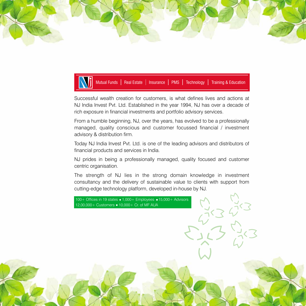



Successful wealth creation for customers, is what defines lives and actions at NJ India Invest Pvt. Ltd. Established in the year 1994, NJ has over a decade of rich exposure in financial investments and portfolio advisory services.

From a humble beginning, NJ, over the years, has evolved to be a professionally managed, quality conscious and customer focussed financial / investment advisory & distribution firm.

Today NJ India Invest Pvt. Ltd. is one of the leading advisors and distributors of financial products and services in India.

NJ prides in being a professionally managed, quality focused and customer centric organisation.

The strength of NJ lies in the strong domain knowledge in investment consultancy and the delivery of sustainable value to clients with support from cutting-edge technology platform, developed in-house by NJ.

100 + Offices in 19 states  $\blacksquare$  1,000 + Employees  $\blacksquare$  15,000 + Advisors

12,00,000+ Customers 10,000+ Cr. of MF AUA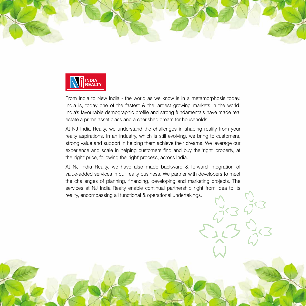



From India to New India - the world as we know is in a metamorphosis today. India is, today one of the fastest & the largest growing markets in the world. India's favourable demographic profile and strong fundamentals have made real estate a prime asset class and a cherished dream for households.

At NJ India Realty, we understand the challenges in shaping reality from your realty aspirations. In an industry, which is still evolving, we bring to customers, strong value and support in helping them achieve their dreams. We leverage our experience and scale in helping customers find and buy the 'right' property, at the 'right' price, following the 'right' process, across India.

At NJ India Realty, we have also made backward & forward integration of value-added services in our realty business. We partner with developers to meet the challenges of planning, financing, developing and marketing projects. The services at NJ India Realty enable continual partnership right from idea to its reality, encompassing all functional & operational undertakings.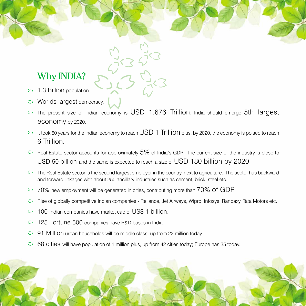## Why INDIA?

- 1.3 Billion population.  $\Sigma$
- Worlds largest democracy.  $\mathcal{L}$
- The present size of Indian economy is USD 1.676 Trillion. India should emerge 5th largest  $\Sigma$ economy by 2020.
- $\heartsuit$  It took 60 years for the Indian economy to reach USD 1 Trillion plus, by 2020, the economy is poised to reach 6 Trillion.
- $\overline{B}$  Real Estate sector accounts for approximately 5% of India's GDP. The current size of the industry is close to USD 50 billion and the same is expected to reach a size of USD 180 billion by 2020.
- $\Sigma$  The Real Estate sector is the second largest employer in the country, next to agriculture. The sector has backward and forward linkages with about 250 ancillary industries such as cement, brick, steel etc.
- 70% new employment will be generated in cities, contributing more than 70% of GDP.  $\mathcal{L}$
- Rise of globally competitive Indian companies Reliance, Jet Airways, Wipro, Infosys, Ranbaxy, Tata Motors etc.  $\Sigma$
- 100 Indian companies have market cap of US\$ 1 billion.  $\mathcal{L}$
- 125 Fortune 500 companies have R&D bases in India.  $\Sigma$
- 91 Million urban households will be middle class, up from 22 million today.  $\Sigma$
- 68 cities will have population of 1 million plus, up from 42 cities today; Europe has 35 today. $\mathcal{L}$

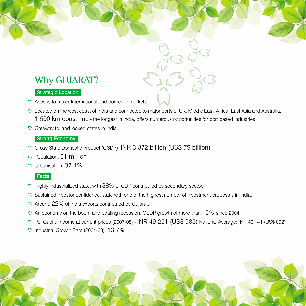## Why GUJARAT?

#### Strategic Location

- $\Diamond$  Access to major International and domestic markets.
- $\{5\}$  Located on the west coast of India and connected to major ports of UK, Middle East, Africa, East Asia and Australia. 1,500 km coast line - the longest in India, offers numerous opportunities for port based industries.
- $\overline{\epsilon}$  Gateway to land locked states in India.

#### Strong Economy

- Gross State Domestic Product (GSDP): INR 3,372 billion (US\$ 75 billion)
- $\epsilon$  Population: 51 million
- $\epsilon$  Urbanisation: 37.4%

#### **Facts**

- $\Diamond$  Highly industrialized state, with 38% of GDP contributed by secondary sector.
- $\overline{\epsilon}$  Sustained investor confidence, state with one of the highest number of investment proposals in India.
- $\epsilon$  Around 22% of India exports contributed by Gujarat.
- $\epsilon$  An economy on the boom and beating recession, GSDP growth of more than 10% since 2004.
- Per Capita Income at current prices (2007-08) INR 49,251 (US\$ 985) National Average: INR 40,141 (US\$ 802)
- $\Diamond$  Industrial Growth Rate (2004-08): 13.7%

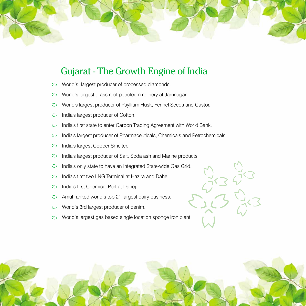

### Gujarat - The Growth Engine of India

- World's largest producer of processed diamonds.  $\Sigma$
- World's largest grass root petroleum refinery at Jamnagar.  $\Sigma$
- World's largest producer of Psyllium Husk, Fennel Seeds and Castor.  $\Sigma$
- India's largest producer of Cotton.  $\mathcal{L}$
- India's first state to enter Carbon Trading Agreement with World Bank.  $\Sigma$
- India's largest producer of Pharmaceuticals, Chemicals and Petrochemicals.  $\mathcal{L}$
- India's largest Copper Smelter.  $\mathcal{L}$
- India's largest producer of Salt, Soda ash and Marine products.  $\mathcal{L}$
- $\mathcal{L}$ India's only state to have an Integrated State-wide Gas Grid.
- $\mathcal{L}$ India's first two LNG Terminal at Hazira and Dahej.
- India's first Chemical Port at Dahej.  $\Sigma$
- Amul ranked world's top 21 largest dairy business.  $\mathcal{L}$
- World's 3rd largest producer of denim.  $\Sigma$
- World's largest gas based single location sponge iron plant. $\mathcal{L}$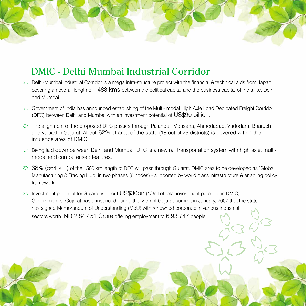## DMIC - Delhi Mumbai Industrial Corridor

- $\Sigma$  Delhi-Mumbai Industrial Corridor is a mega infra-structure project with the financial & technical aids from Japan, covering an overall length of 1483 kms between the political capital and the business capital of India, i.e. Delhi and Mumbai.
- Government of India has announced establishing of the Multi- modal High Axle Load Dedicated Freight Corridor (DFC) between Delhi and Mumbai with an investment potential of US\$90 billion.
- $\epsilon$ . The alignment of the proposed DFC passes through Palanpur, Mehsana, Ahmedabad, Vadodara, Bharuch and Valsad in Gujarat. About 62% of area of the state (18 out of 26 districts) is covered within the influence area of DMIC.
- $\epsilon$  Being laid down between Delhi and Mumbai, DFC is a new rail transportation system with high axle, multimodal and computerised features.
- $\overline{\epsilon}$  38% (564 km) of the 1500 km length of DFC will pass through Gujarat. DMIC area to be developed as 'Global Manufacturing & Trading Hub' in two phases (6 nodes) - supported by world class infrastructure & enabling policy framework.
- $\Diamond$  Investment potential for Gujarat is about US\$30bn (1/3rd of total investment potential in DMIC). Government of Gujarat has announced during the 'Vibrant Gujarat' summit in January, 2007 that the state has signed Memorandum of Understanding (MoU) with renowned corporate in various industrial sectors worth INR 2,84,451 Crore offering employment to 6,93,747 people.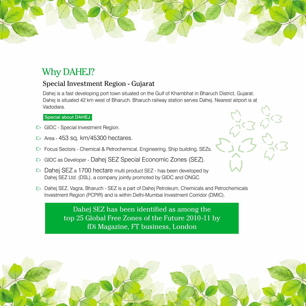## Why DAHEJ?

### Special Investment Region - Gujarat

Dahej is a fast developing port town situated on the Gulf of Khambhat in Bharuch District, Gujarat. Dahej is situated 42 km west of Bharuch. Bharuch railway station serves Dahej. Nearest airport is at Vadodara.

#### Special about DAHEJ

- $\Sigma$  GIDC Special Investment Region.
- Area 453 sq. km/45300 hectares.  $\mathcal{L}$
- Focus Sectors Chemical & Petrochemical, Engineering, Ship building, SEZs.  $\zeta$
- GIDC as Developer Dahej SEZ Special Economic Zones (SEZ).  $\mathcal{L}$
- Dahej SEZ a 1700 hectare multi product SEZ has been developed by  $\zeta$ Dahej SEZ Ltd. (DSL), a company jointly promoted by GIDC and ONGC.
- $\Sigma$  Dahej SEZ, Vagra, Bharuch SEZ is a part of Dahej Petroleum, Chemicals and Petrochemicals Investment Region (PCPIR) and is within Delhi-Mumbai Investment Corridor (DMIC).

Dahej SEZ has been identified as among the top 25 Global Free Zones of the Future 2010-11 by fDi Magazine, FT business, London

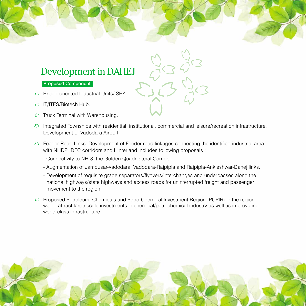### Development in DAHEJ

#### Proposed Component

- Export-oriented Industrial Units/ SEZ.
- IT/ITES/Biotech Hub.
- $\Sigma$  Truck Terminal with Warehousing.
- $\Diamond$  Integrated Townships with residential, institutional, commercial and leisure/recreation infrastructure. Development of Vadodara Airport.
- $\Diamond$  Feeder Road Links: Development of Feeder road linkages connecting the identified industrial area with NHDP, DFC corridors and Hinterland includes following proposals :
	- Connectivity to NH-8, the Golden Quadrilateral Corridor.
	- Augmentation of Jambusar-Vadodara, Vadodara-Rajpipla and Rajpipla-Ankleshwar-Dahej links.
	- Development of requisite grade separators/flyovers/interchanges and underpasses along the national highways/state highways and access roads for uninterrupted freight and passenger movement to the region.
- $\Sigma$  Proposed Petroleum, Chemicals and Petro-Chemical Investment Region (PCPIR) in the region would attract large scale investments in chemical/petrochemical industry as well as in providing world-class infrastructure.

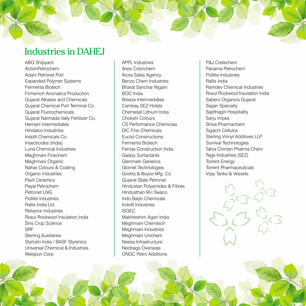## Industries in DAHEJ

ABG Shipyard ActionPetrochem Adani Petronet Port Expanded Polymer Systems Fermenta Biotech Firmenich Aromatics Production Gujarat Alkalies and Chemicals Gujarat Chemical Port Terminal Co. Gujarat Fluorochemicals Gujarat Narmada Vally Fertilizer Co. Hemani Intermediates Hindalco Industries Indofil Chemicals Co. Insecticides (India) Luna Chemical Industries Meghmani Finechem Meghmani Organic Nahar Colours & Coating Organic Industries Pavit Ceramics Payal Petrochem Petronet LNG Pidilite Industries Rallis India Ltd. Reliance Industries Roxul Rockwool Insulation India Siris Crop Science SRF Sterling Auxiliaries Styrlutin India / BASF Styrenics Universal Chemical & Industries Welspun Corp

APPL Industries Aries Colorchem Arora Sales Agency Benzo Chem Industries Bharat Sanchar Nigam BOC India Breeze Intermediates Cambay SEZ Hotels Chemetall Lithium India Chokshi Colours CS Performance Chemiclas DIC Fine Chemicals Euclid Constructions Fermenta Biotech Fernas Construction India Galaxy Surfactants Glenmark Generics Glomet Technologies Godrej & Boyce Mfg. Co. Gujarat State Petronet Hindustan Polyamides & Fibres Hindusthan M-I Swaco Indo Baijin Chemicals Indofil Industries ISGEC Makhteshim Agan India Meghmani Chemtech Meghmani Industries Meghmani Unichem Neesa Infrastructure Neobags Overseas ONGC Petro Additions

P&J Cretechem Panama Petrochem Pidilite Industries Rallis India Ramdev Chemical Industries Roxul Rockwool Insulation India Sabero Organics Gujarat Sajjan Specialty Sapthagiri Hospitality Sarju Impex Shiva Pharmachem Sigachi Cellulos Sterling Vinnyl Additives LLP Survival Technologies Tatva Chintan Pharma Chem Tega Industries (SEZ) Torrent Energy Torrent Pharmaceuticals Vijay Tanks & Vessels

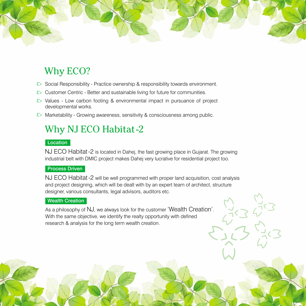## Why ECO?

- $\Diamond$  Social Responsibility Practice ownership & responsibility towards environment.
- $\epsilon$  Customer Centric Better and sustainable living for future for communities.
- $\Sigma$  Values Low carbon footing & environmental impact in pursuance of project developmental works.
- $\Diamond$  Marketability Growing awareness, sensitivity & consciousness among public.

## Why NJ ECO Habitat-2

#### **Location**

NJ ECO Habitat-2 is located in Dahej, the fast growing place in Gujarat. The growing industrial belt with DMIC project makes Dahej very lucrative for residential project too.

#### Process Driven

NJ ECO Habitat-2 will be well programmed with proper land acquisition, cost analysis and project designing, which will be dealt with by an expert team of architect, structure designer, various consultants, legal advisors, auditors etc.

#### Wealth Creation

As a philosophy of NJ, we always look for the customer 'Wealth Creation'. With the same objective, we identify the realty opportunity with defined research & analysis for the long term wealth creation.